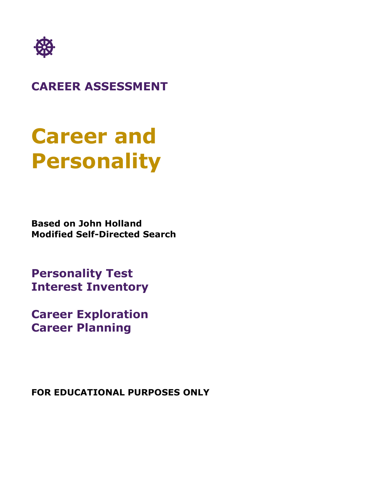

## **CAREER ASSESSMENT**

# **Career and Personality**

**Based on John Holland Modified Self-Directed Search**

**Personality Test Interest Inventory**

**Career Exploration Career Planning**

**FOR EDUCATIONAL PURPOSES ONLY**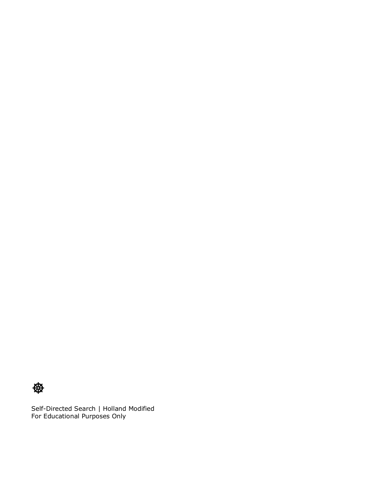

Self-Directed Search | Holland Modified For Educational Purposes Only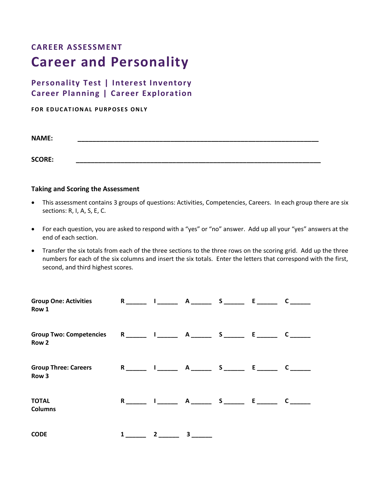## **CAREER ASSESSMENT Career and Personality**

**Personality Test | Interest Inventory Career Planning | Career Exploration**

**FOR EDUCATIONAL PURPOSES ONLY** 

| <b>NAME:</b>  |  |  |  |
|---------------|--|--|--|
|               |  |  |  |
| <b>SCORE:</b> |  |  |  |

#### **Taking and Scoring the Assessment**

- This assessment contains 3 groups of questions: Activities, Competencies, Careers. In each group there are six sections: R, I, A, S, E, C.
- For each question, you are asked to respond with a "yes" or "no" answer. Add up all your "yes" answers at the end of each section.
- Transfer the six totals from each of the three sections to the three rows on the scoring grid. Add up the three numbers for each of the six columns and insert the six totals. Enter the letters that correspond with the first, second, and third highest scores.

| <b>Group One: Activities</b><br>Row 1           | $\mathsf{R}$ | $A \t S$       |              | E <sub>nd</sub> | $\mathbf{c}$ |
|-------------------------------------------------|--------------|----------------|--------------|-----------------|--------------|
| <b>Group Two: Competencies</b><br>Row 2         |              | R I A S E C    |              |                 |              |
| <b>Group Three: Careers</b><br>Row <sub>3</sub> |              | R I A S        |              | $E$ and $E$     | $\mathbf{C}$ |
| <b>TOTAL</b><br><b>Columns</b>                  | $\mathsf{R}$ | $\overline{A}$ | $\mathsf{S}$ | E <sub>nd</sub> |              |
| <b>CODE</b>                                     | 1            | 3              |              |                 |              |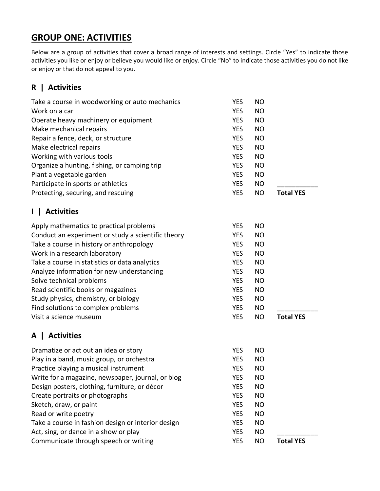#### **GROUP ONE: ACTIVITIES**

Below are a group of activities that cover a broad range of interests and settings. Circle "Yes" to indicate those activities you like or enjoy or believe you would like or enjoy. Circle "No" to indicate those activities you do not like or enjoy or that do not appeal to you.

#### **R | Activities**

| Take a course in woodworking or auto mechanics     | <b>YES</b> | <b>NO</b> |                  |
|----------------------------------------------------|------------|-----------|------------------|
| Work on a car                                      | <b>YES</b> | <b>NO</b> |                  |
| Operate heavy machinery or equipment               | <b>YES</b> | <b>NO</b> |                  |
| Make mechanical repairs                            | <b>YES</b> | <b>NO</b> |                  |
| Repair a fence, deck, or structure                 | <b>YES</b> | <b>NO</b> |                  |
| Make electrical repairs                            | <b>YES</b> | <b>NO</b> |                  |
| Working with various tools                         | <b>YES</b> | <b>NO</b> |                  |
| Organize a hunting, fishing, or camping trip       | <b>YES</b> | <b>NO</b> |                  |
| Plant a vegetable garden                           | <b>YES</b> | <b>NO</b> |                  |
| Participate in sports or athletics                 | <b>YES</b> | <b>NO</b> |                  |
| Protecting, securing, and rescuing                 | <b>YES</b> | <b>NO</b> | <b>Total YES</b> |
| <b>Activities</b><br>$\mathsf{L}$                  |            |           |                  |
| Apply mathematics to practical problems            | <b>YES</b> | <b>NO</b> |                  |
| Conduct an experiment or study a scientific theory | <b>YES</b> | <b>NO</b> |                  |
| Take a course in history or anthropology           | <b>YES</b> | <b>NO</b> |                  |
| Work in a research laboratory                      | <b>YES</b> | <b>NO</b> |                  |
| Take a course in statistics or data analytics      | <b>YES</b> | <b>NO</b> |                  |
| Analyze information for new understanding          | <b>YES</b> | <b>NO</b> |                  |
| Solve technical problems                           | <b>YES</b> | <b>NO</b> |                  |
| Read scientific books or magazines                 | <b>YES</b> | <b>NO</b> |                  |
| Study physics, chemistry, or biology               | <b>YES</b> | <b>NO</b> |                  |
| Find solutions to complex problems                 | <b>YES</b> | <b>NO</b> |                  |
| Visit a science museum                             | <b>YES</b> | <b>NO</b> | <b>Total YES</b> |
| <b>Activities</b><br>A I                           |            |           |                  |
| Dramatize or act out an idea or story              | <b>YES</b> | <b>NO</b> |                  |
| Play in a band, music group, or orchestra          | <b>YES</b> | <b>NO</b> |                  |
| Practice playing a musical instrument              | <b>YES</b> | <b>NO</b> |                  |
| Write for a magazine, newspaper, journal, or blog  | YES        | <b>NO</b> |                  |
| Design posters, clothing, furniture, or décor      | <b>YES</b> | <b>NO</b> |                  |
| Create portraits or photographs                    | <b>YES</b> | <b>NO</b> |                  |
| Sketch, draw, or paint                             | <b>YES</b> | <b>NO</b> |                  |
| Read or write poetry                               | <b>YES</b> | <b>NO</b> |                  |
| Take a course in fashion design or interior design | <b>YES</b> | NO        |                  |
| Act, sing, or dance in a show or play              | <b>YES</b> | <b>NO</b> |                  |
| Communicate through speech or writing              | <b>YES</b> | NO        | <b>Total YES</b> |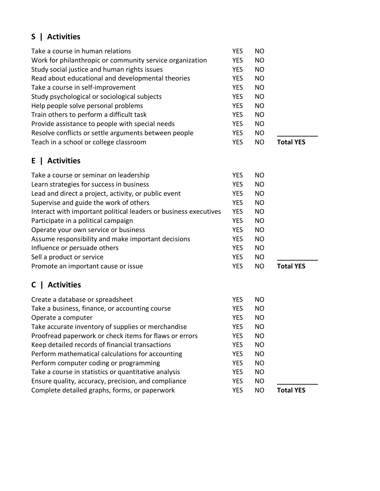#### **S | Activities**

| Take a course in human relations                         | YES        | NO.       |                  |
|----------------------------------------------------------|------------|-----------|------------------|
| Work for philanthropic or community service organization | <b>YES</b> | <b>NO</b> |                  |
| Study social justice and human rights issues             | <b>YES</b> | NO        |                  |
| Read about educational and developmental theories        | <b>YES</b> | NO.       |                  |
| Take a course in self-improvement                        | <b>YES</b> | NO        |                  |
| Study psychological or sociological subjects             | <b>YES</b> | NO.       |                  |
| Help people solve personal problems                      | <b>YES</b> | NO        |                  |
| Train others to perform a difficult task                 | <b>YES</b> | NO.       |                  |
| Provide assistance to people with special needs          | <b>YES</b> | <b>NO</b> |                  |
| Resolve conflicts or settle arguments between people     | <b>YES</b> | <b>NO</b> |                  |
| Teach in a school or college classroom                   | <b>YES</b> | NO.       | <b>Total YES</b> |

#### **E | Activities**

| Take a course or seminar on leadership                           | YES        | NO        |                  |
|------------------------------------------------------------------|------------|-----------|------------------|
| Learn strategies for success in business                         | <b>YES</b> | NO.       |                  |
| Lead and direct a project, activity, or public event             | YES        | <b>NO</b> |                  |
| Supervise and guide the work of others                           | YES        | <b>NO</b> |                  |
| Interact with important political leaders or business executives | <b>YES</b> | NO        |                  |
| Participate in a political campaign                              | <b>YES</b> | NO.       |                  |
| Operate your own service or business                             | YES        | NO        |                  |
| Assume responsibility and make important decisions               | YES        | NO        |                  |
| Influence or persuade others                                     | <b>YES</b> | NO.       |                  |
| Sell a product or service                                        | <b>YES</b> | <b>NO</b> |                  |
| Promote an important cause or issue                              | YES        | NO.       | <b>Total YES</b> |

#### **C | Activities**

| Create a database or spreadsheet                       | <b>YES</b> | NO        |                  |
|--------------------------------------------------------|------------|-----------|------------------|
| Take a business, finance, or accounting course         | <b>YES</b> | NO.       |                  |
| Operate a computer                                     | <b>YES</b> | NO.       |                  |
| Take accurate inventory of supplies or merchandise     | YES        | <b>NO</b> |                  |
| Proofread paperwork or check items for flaws or errors | <b>YES</b> | NO        |                  |
| Keep detailed records of financial transactions        | <b>YES</b> | NO        |                  |
| Perform mathematical calculations for accounting       | <b>YES</b> | NO.       |                  |
| Perform computer coding or programming                 | <b>YES</b> | NO        |                  |
| Take a course in statistics or quantitative analysis   | <b>YES</b> | <b>NO</b> |                  |
| Ensure quality, accuracy, precision, and compliance    | <b>YES</b> | <b>NO</b> |                  |
| Complete detailed graphs, forms, or paperwork          | <b>YES</b> | NO        | <b>Total YES</b> |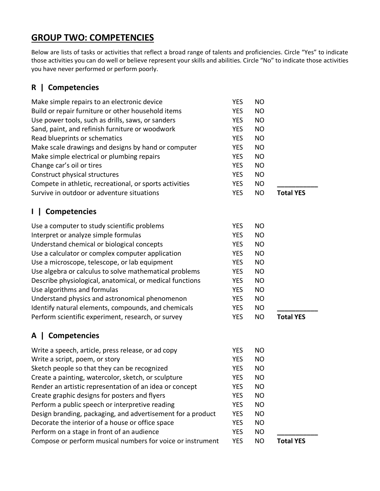#### **GROUP TWO: COMPETENCIES**

Below are lists of tasks or activities that reflect a broad range of talents and proficiencies. Circle "Yes" to indicate those activities you can do well or believe represent your skills and abilities. Circle "No" to indicate those activities you have never performed or perform poorly.

#### **R | Competencies**

| Make simple repairs to an electronic device                 | <b>YES</b> | <b>NO</b> |                  |
|-------------------------------------------------------------|------------|-----------|------------------|
| Build or repair furniture or other household items          | <b>YES</b> | <b>NO</b> |                  |
| Use power tools, such as drills, saws, or sanders           | <b>YES</b> | <b>NO</b> |                  |
| Sand, paint, and refinish furniture or woodwork             | <b>YES</b> | <b>NO</b> |                  |
| Read blueprints or schematics                               | <b>YES</b> | <b>NO</b> |                  |
| Make scale drawings and designs by hand or computer         | <b>YES</b> | <b>NO</b> |                  |
| Make simple electrical or plumbing repairs                  | <b>YES</b> | <b>NO</b> |                  |
| Change car's oil or tires                                   | <b>YES</b> | <b>NO</b> |                  |
| Construct physical structures                               | <b>YES</b> | <b>NO</b> |                  |
| Compete in athletic, recreational, or sports activities     | <b>YES</b> | <b>NO</b> |                  |
| Survive in outdoor or adventure situations                  | <b>YES</b> | <b>NO</b> | <b>Total YES</b> |
| <b>Competencies</b><br>$\mathsf{L}$                         |            |           |                  |
| Use a computer to study scientific problems                 | <b>YES</b> | <b>NO</b> |                  |
| Interpret or analyze simple formulas                        | <b>YES</b> | <b>NO</b> |                  |
| Understand chemical or biological concepts                  | <b>YES</b> | <b>NO</b> |                  |
| Use a calculator or complex computer application            | <b>YES</b> | <b>NO</b> |                  |
| Use a microscope, telescope, or lab equipment               | <b>YES</b> | <b>NO</b> |                  |
| Use algebra or calculus to solve mathematical problems      | <b>YES</b> | <b>NO</b> |                  |
| Describe physiological, anatomical, or medical functions    | <b>YES</b> | <b>NO</b> |                  |
| Use algorithms and formulas                                 | <b>YES</b> | <b>NO</b> |                  |
| Understand physics and astronomical phenomenon              | <b>YES</b> | <b>NO</b> |                  |
| Identify natural elements, compounds, and chemicals         | <b>YES</b> | <b>NO</b> |                  |
| Perform scientific experiment, research, or survey          | <b>YES</b> | <b>NO</b> | <b>Total YES</b> |
| <b>Competencies</b><br>A I                                  |            |           |                  |
| Write a speech, article, press release, or ad copy          | <b>YES</b> | <b>NO</b> |                  |
| Write a script, poem, or story                              | <b>YES</b> | <b>NO</b> |                  |
| Sketch people so that they can be recognized                | <b>YES</b> | <b>NO</b> |                  |
| Create a painting, watercolor, sketch, or sculpture         | <b>YES</b> | <b>NO</b> |                  |
| Render an artistic representation of an idea or concept     | <b>YES</b> | <b>NO</b> |                  |
| Create graphic designs for posters and flyers               | <b>YES</b> | <b>NO</b> |                  |
| Perform a public speech or interpretive reading             | <b>YES</b> | <b>NO</b> |                  |
| Design branding, packaging, and advertisement for a product | <b>YES</b> | <b>NO</b> |                  |
| Decorate the interior of a house or office space            | <b>YES</b> | <b>NO</b> |                  |
| Perform on a stage in front of an audience                  | <b>YES</b> | <b>NO</b> |                  |
| Compose or perform musical numbers for voice or instrument  | <b>YES</b> | <b>NO</b> | <b>Total YES</b> |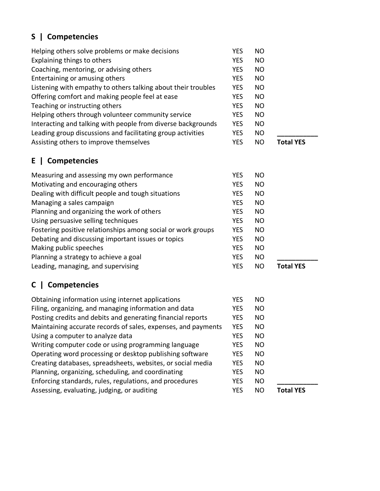### **S | Competencies**

| Helping others solve problems or make decisions               | YES        | NO.       |                  |
|---------------------------------------------------------------|------------|-----------|------------------|
| Explaining things to others                                   | <b>YES</b> | <b>NO</b> |                  |
| Coaching, mentoring, or advising others                       | <b>YES</b> | NO        |                  |
| Entertaining or amusing others                                | <b>YES</b> | NO        |                  |
| Listening with empathy to others talking about their troubles | <b>YES</b> | NO        |                  |
| Offering comfort and making people feel at ease               | <b>YES</b> | NO        |                  |
| Teaching or instructing others                                | <b>YES</b> | NO        |                  |
| Helping others through volunteer community service            | <b>YES</b> | NO        |                  |
| Interacting and talking with people from diverse backgrounds  | <b>YES</b> | NO        |                  |
| Leading group discussions and facilitating group activities   | <b>YES</b> | <b>NO</b> |                  |
| Assisting others to improve themselves                        | YES        | <b>NO</b> | <b>Total YES</b> |

#### **E | Competencies**

| Measuring and assessing my own performance                   | <b>YES</b> | NO        |                  |
|--------------------------------------------------------------|------------|-----------|------------------|
| Motivating and encouraging others                            | <b>YES</b> | <b>NO</b> |                  |
| Dealing with difficult people and tough situations           | <b>YES</b> | <b>NO</b> |                  |
| Managing a sales campaign                                    | <b>YES</b> | NO        |                  |
| Planning and organizing the work of others                   | <b>YES</b> | <b>NO</b> |                  |
| Using persuasive selling techniques                          | <b>YES</b> | <b>NO</b> |                  |
| Fostering positive relationships among social or work groups | <b>YES</b> | NO        |                  |
| Debating and discussing important issues or topics           | <b>YES</b> | <b>NO</b> |                  |
| Making public speeches                                       | <b>YES</b> | <b>NO</b> |                  |
| Planning a strategy to achieve a goal                        | <b>YES</b> | <b>NO</b> |                  |
| Leading, managing, and supervising                           | <b>YES</b> | NO        | <b>Total YES</b> |

#### **C | Competencies**

| Obtaining information using internet applications             | YES        | NO        |                  |
|---------------------------------------------------------------|------------|-----------|------------------|
| Filing, organizing, and managing information and data         | YES        | NO        |                  |
| Posting credits and debits and generating financial reports   | YES        | NO        |                  |
| Maintaining accurate records of sales, expenses, and payments | <b>YES</b> | NO.       |                  |
| Using a computer to analyze data                              | YES        | NO        |                  |
| Writing computer code or using programming language           | YES        | <b>NO</b> |                  |
| Operating word processing or desktop publishing software      | YES        | NO        |                  |
| Creating databases, spreadsheets, websites, or social media   | <b>YES</b> | NO        |                  |
| Planning, organizing, scheduling, and coordinating            | <b>YES</b> | <b>NO</b> |                  |
| Enforcing standards, rules, regulations, and procedures       | <b>YES</b> | <b>NO</b> |                  |
| Assessing, evaluating, judging, or auditing                   | <b>YES</b> | <b>NO</b> | <b>Total YES</b> |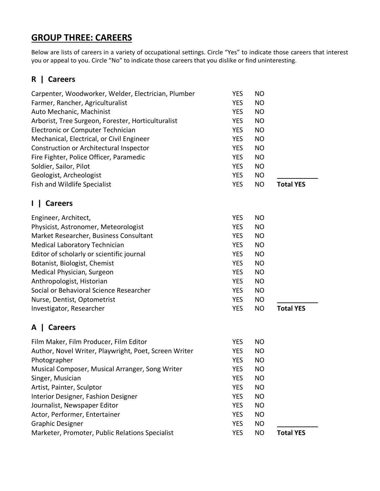#### **GROUP THREE: CAREERS**

Below are lists of careers in a variety of occupational settings. Circle "Yes" to indicate those careers that interest you or appeal to you. Circle "No" to indicate those careers that you dislike or find uninteresting.

#### **R | Careers**

| Carpenter, Woodworker, Welder, Electrician, Plumber   | <b>YES</b> | <b>NO</b> |                  |
|-------------------------------------------------------|------------|-----------|------------------|
| Farmer, Rancher, Agriculturalist                      | <b>YES</b> | <b>NO</b> |                  |
| Auto Mechanic, Machinist                              | <b>YES</b> | <b>NO</b> |                  |
| Arborist, Tree Surgeon, Forester, Horticulturalist    | <b>YES</b> | <b>NO</b> |                  |
| Electronic or Computer Technician                     | <b>YES</b> | <b>NO</b> |                  |
| Mechanical, Electrical, or Civil Engineer             | <b>YES</b> | <b>NO</b> |                  |
| Construction or Architectural Inspector               | <b>YES</b> | <b>NO</b> |                  |
| Fire Fighter, Police Officer, Paramedic               | <b>YES</b> | <b>NO</b> |                  |
| Soldier, Sailor, Pilot                                | <b>YES</b> | <b>NO</b> |                  |
| Geologist, Archeologist                               | <b>YES</b> | <b>NO</b> |                  |
| <b>Fish and Wildlife Specialist</b>                   | <b>YES</b> | <b>NO</b> | <b>Total YES</b> |
| $\mathsf{L}$<br><b>Careers</b>                        |            |           |                  |
| Engineer, Architect,                                  | <b>YES</b> | <b>NO</b> |                  |
| Physicist, Astronomer, Meteorologist                  | <b>YES</b> | <b>NO</b> |                  |
| Market Researcher, Business Consultant                | <b>YES</b> | <b>NO</b> |                  |
| Medical Laboratory Technician                         | <b>YES</b> | <b>NO</b> |                  |
| Editor of scholarly or scientific journal             | <b>YES</b> | <b>NO</b> |                  |
| Botanist, Biologist, Chemist                          | <b>YES</b> | <b>NO</b> |                  |
| Medical Physician, Surgeon                            | <b>YES</b> | <b>NO</b> |                  |
| Anthropologist, Historian                             | <b>YES</b> | <b>NO</b> |                  |
| Social or Behavioral Science Researcher               | <b>YES</b> | <b>NO</b> |                  |
| Nurse, Dentist, Optometrist                           | <b>YES</b> | <b>NO</b> |                  |
| Investigator, Researcher                              | <b>YES</b> | <b>NO</b> | <b>Total YES</b> |
| <b>Careers</b><br>A I                                 |            |           |                  |
| Film Maker, Film Producer, Film Editor                | <b>YES</b> | <b>NO</b> |                  |
| Author, Novel Writer, Playwright, Poet, Screen Writer | <b>YES</b> | <b>NO</b> |                  |
| Photographer                                          | <b>YES</b> | <b>NO</b> |                  |
| Musical Composer, Musical Arranger, Song Writer       | YES        | NO        |                  |
| Singer, Musician                                      | <b>YES</b> | <b>NO</b> |                  |
| Artist, Painter, Sculptor                             | <b>YES</b> | <b>NO</b> |                  |
| Interior Designer, Fashion Designer                   | <b>YES</b> | <b>NO</b> |                  |
| Journalist, Newspaper Editor                          | <b>YES</b> | <b>NO</b> |                  |
| Actor, Performer, Entertainer                         | <b>YES</b> | <b>NO</b> |                  |
| <b>Graphic Designer</b>                               | <b>YES</b> | <b>NO</b> |                  |
| Marketer, Promoter, Public Relations Specialist       | <b>YES</b> | <b>NO</b> | <b>Total YES</b> |